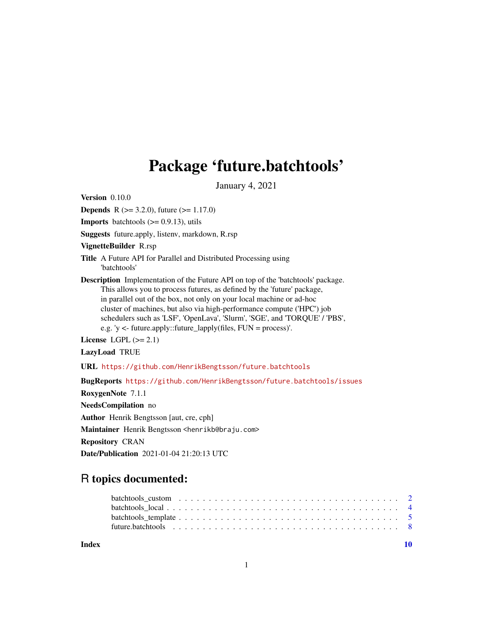## Package 'future.batchtools'

January 4, 2021

<span id="page-0-0"></span>Version 0.10.0

**Depends** R ( $> = 3.2.0$ ), future ( $> = 1.17.0$ )

**Imports** batchtools  $(>= 0.9.13)$ , utils

Suggests future.apply, listenv, markdown, R.rsp

VignetteBuilder R.rsp

Title A Future API for Parallel and Distributed Processing using 'batchtools'

Description Implementation of the Future API on top of the 'batchtools' package. This allows you to process futures, as defined by the 'future' package, in parallel out of the box, not only on your local machine or ad-hoc cluster of machines, but also via high-performance compute ('HPC') job schedulers such as 'LSF', 'OpenLava', 'Slurm', 'SGE', and 'TORQUE' / 'PBS', e.g. 'y <- future.apply::future\_lapply(files, FUN = process)'.

License LGPL  $(>= 2.1)$ 

LazyLoad TRUE

URL <https://github.com/HenrikBengtsson/future.batchtools>

BugReports <https://github.com/HenrikBengtsson/future.batchtools/issues>

RoxygenNote 7.1.1

NeedsCompilation no

Author Henrik Bengtsson [aut, cre, cph]

Maintainer Henrik Bengtsson <henrikb@braju.com>

Repository CRAN

Date/Publication 2021-01-04 21:20:13 UTC

### R topics documented:

 $\blacksquare$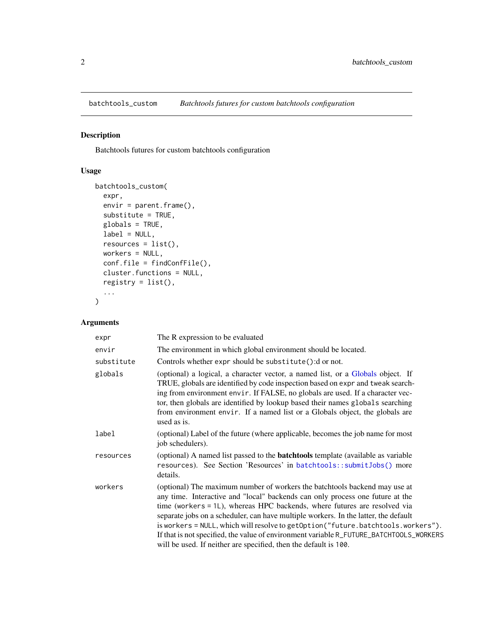<span id="page-1-0"></span>

#### Description

Batchtools futures for custom batchtools configuration

#### Usage

```
batchtools_custom(
 expr,
 envir = parent.frame(),substitute = TRUE,
 globals = TRUE,
 label = NULL,
 resources = list(),
 workers = NULL,
 conf.file = findConfFile(),
 cluster.functions = NULL,
 registry = list(),
  ...
)
```
#### Arguments

| expr       | The R expression to be evaluated                                                                                                                                                                                                                                                                                                                                                                                                                                                                                                                                                   |
|------------|------------------------------------------------------------------------------------------------------------------------------------------------------------------------------------------------------------------------------------------------------------------------------------------------------------------------------------------------------------------------------------------------------------------------------------------------------------------------------------------------------------------------------------------------------------------------------------|
| envir      | The environment in which global environment should be located.                                                                                                                                                                                                                                                                                                                                                                                                                                                                                                                     |
| substitute | Controls whether expr should be substitute(): dornot.                                                                                                                                                                                                                                                                                                                                                                                                                                                                                                                              |
| globals    | (optional) a logical, a character vector, a named list, or a Globals object. If<br>TRUE, globals are identified by code inspection based on expr and tweak search-<br>ing from environment envir. If FALSE, no globals are used. If a character vec-<br>tor, then globals are identified by lookup based their names globals searching<br>from environment envir. If a named list or a Globals object, the globals are<br>used as is.                                                                                                                                              |
| label      | (optional) Label of the future (where applicable, becomes the job name for most<br>job schedulers).                                                                                                                                                                                                                                                                                                                                                                                                                                                                                |
| resources  | (optional) A named list passed to the <b>batchtools</b> template (available as variable<br>resources). See Section 'Resources' in batchtools::submitJobs() more<br>details.                                                                                                                                                                                                                                                                                                                                                                                                        |
| workers    | (optional) The maximum number of workers the batchtools backend may use at<br>any time. Interactive and "local" backends can only process one future at the<br>time (workers = 1L), whereas HPC backends, where futures are resolved via<br>separate jobs on a scheduler, can have multiple workers. In the latter, the default<br>is workers = NULL, which will resolve to getOption("future.batchtools.workers").<br>If that is not specified, the value of environment variable R_FUTURE_BATCHTOOLS_WORKERS<br>will be used. If neither are specified, then the default is 100. |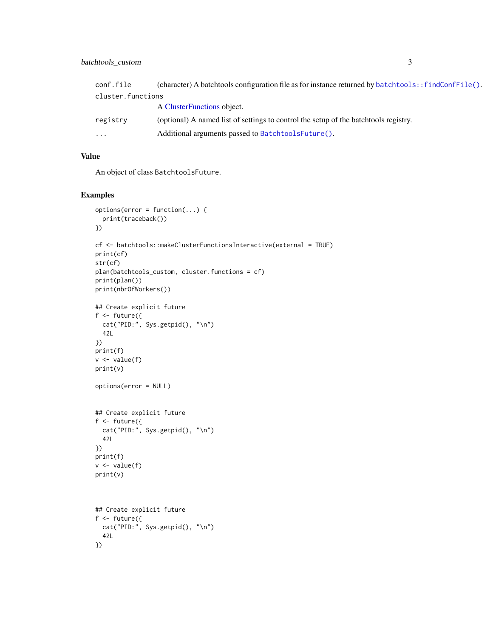#### <span id="page-2-0"></span>batchtools\_custom 3

| conf.file         | (character) A batchtools configuration file as for instance returned by batchtools: : findConf $File()$ . |
|-------------------|-----------------------------------------------------------------------------------------------------------|
| cluster.functions |                                                                                                           |
|                   | A ClusterFunctions object.                                                                                |
| registry          | (optional) A named list of settings to control the setup of the batchtools registry.                      |
| .                 | Additional arguments passed to BatchtoolsFuture().                                                        |
|                   |                                                                                                           |

#### Value

An object of class BatchtoolsFuture.

#### Examples

```
options(error = function(...) {
  print(traceback())
})
cf <- batchtools::makeClusterFunctionsInteractive(external = TRUE)
print(cf)
str(cf)
plan(batchtools_custom, cluster.functions = cf)
print(plan())
print(nbrOfWorkers())
## Create explicit future
f \leftarrow future({
 cat("PID:", Sys.getpid(), "\n")
  42L
})
print(f)
v \leftarrow value(f)print(v)
options(error = NULL)
## Create explicit future
f \leftarrow future({
  cat("PID:", Sys.getpid(), "\n")
  42L
})
print(f)
v <- value(f)
print(v)
## Create explicit future
f \leftarrow future({
  cat("PID:", Sys.getpid(), "\n")
  42L
})
```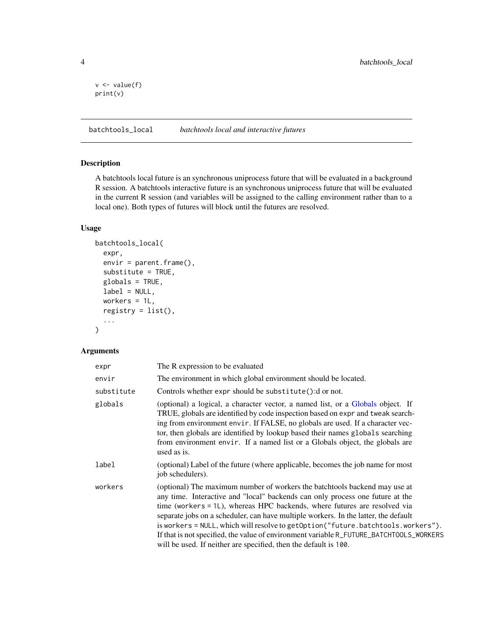```
v \leftarrow value(f)print(v)
```
batchtools\_local *batchtools local and interactive futures*

#### Description

A batchtools local future is an synchronous uniprocess future that will be evaluated in a background R session. A batchtools interactive future is an synchronous uniprocess future that will be evaluated in the current R session (and variables will be assigned to the calling environment rather than to a local one). Both types of futures will block until the futures are resolved.

#### Usage

```
batchtools_local(
  expr,
  envir = parent.frame(),substitute = TRUE,
  globals = TRUE,
  label = NULL,workers = 1L,
  registery = list(),...
)
```
#### Arguments

| expr       | The R expression to be evaluated                                                                                                                                                                                                                                                                                                                                                                                                                                                                                                                                                   |
|------------|------------------------------------------------------------------------------------------------------------------------------------------------------------------------------------------------------------------------------------------------------------------------------------------------------------------------------------------------------------------------------------------------------------------------------------------------------------------------------------------------------------------------------------------------------------------------------------|
| envir      | The environment in which global environment should be located.                                                                                                                                                                                                                                                                                                                                                                                                                                                                                                                     |
| substitute | Controls whether expr should be substitute(): d or not.                                                                                                                                                                                                                                                                                                                                                                                                                                                                                                                            |
| globals    | (optional) a logical, a character vector, a named list, or a Globals object. If<br>TRUE, globals are identified by code inspection based on expr and tweak search-<br>ing from environment envir. If FALSE, no globals are used. If a character vec-<br>tor, then globals are identified by lookup based their names globals searching<br>from environment envir. If a named list or a Globals object, the globals are<br>used as is.                                                                                                                                              |
| label      | (optional) Label of the future (where applicable, becomes the job name for most<br>job schedulers).                                                                                                                                                                                                                                                                                                                                                                                                                                                                                |
| workers    | (optional) The maximum number of workers the batchtools backend may use at<br>any time. Interactive and "local" backends can only process one future at the<br>time (workers = 1L), whereas HPC backends, where futures are resolved via<br>separate jobs on a scheduler, can have multiple workers. In the latter, the default<br>is workers = NULL, which will resolve to getOption("future.batchtools.workers").<br>If that is not specified, the value of environment variable R_FUTURE_BATCHTOOLS_WORKERS<br>will be used. If neither are specified, then the default is 100. |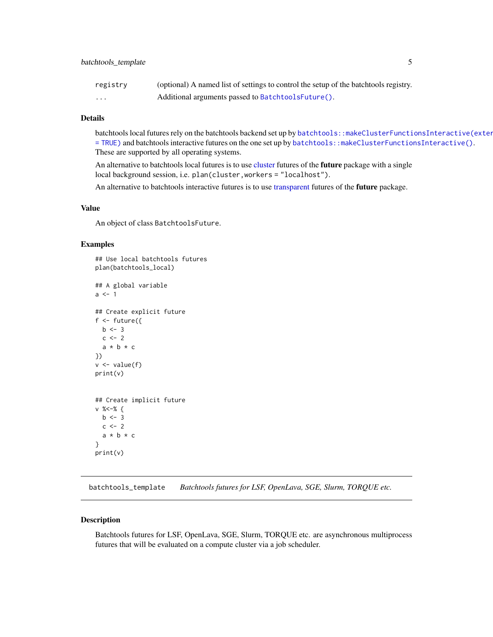<span id="page-4-0"></span>

| registry | (optional) A named list of settings to control the setup of the batchtools registry. |
|----------|--------------------------------------------------------------------------------------|
| .        | Additional arguments passed to BatchtoolsFuture().                                   |

#### Details

batchtools local futures rely on the batchtools backend set up by batchtools: : makeClusterFunctionsInteractive(exter [= TRUE\)](#page-0-0) and batchtools interactive futures on the one set up by [batchtools::makeClusterFunctionsInteractive\(\)](#page-0-0). These are supported by all operating systems.

An alternative to batchtools local futures is to use [cluster](#page-0-0) futures of the future package with a single local background session, i.e. plan(cluster,workers = "localhost").

An alternative to batchtools interactive futures is to use [transparent](#page-0-0) futures of the future package.

#### Value

An object of class BatchtoolsFuture.

#### Examples

```
## Use local batchtools futures
plan(batchtools_local)
## A global variable
a \leq 1## Create explicit future
f \leftarrow future({
  b \le -3c \le -2a * b * c})
v \leftarrow value(f)print(v)
## Create implicit future
v %<-% {
 b \le -3c \le -2a * b * c}
print(v)
```
batchtools\_template *Batchtools futures for LSF, OpenLava, SGE, Slurm, TORQUE etc.*

#### Description

Batchtools futures for LSF, OpenLava, SGE, Slurm, TORQUE etc. are asynchronous multiprocess futures that will be evaluated on a compute cluster via a job scheduler.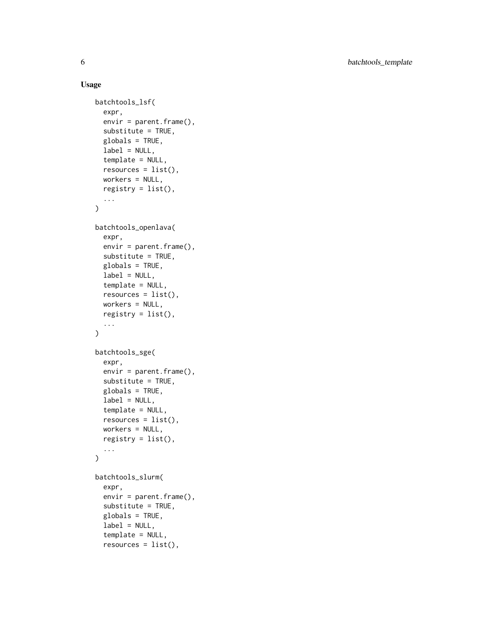#### Usage

```
batchtools_lsf(
  expr,
  envir = parent.frame(),
  substitute = TRUE,
  globals = TRUE,
  label = NULL,template = NULL,
  resources = list(),
 workers = NULL,
  registry = list(),
  ...
\mathcal{L}batchtools_openlava(
  expr,
  envir = parent.frame(),
  substitute = TRUE,
 globals = TRUE,
 label = NULL,template = NULL,
  resources = list(),workers = NULL,
  registry = list(),
  ...
\lambdabatchtools_sge(
  expr,
  envir = parent.frame(),substitute = TRUE,
  globals = TRUE,
  label = NULL,template = NULL,
  resources = list(),workers = NULL,
  registry = list(),
  ...
\mathcal{L}batchtools_slurm(
  expr,
  envir = parent.frame(),
  substitute = TRUE,
  globals = TRUE,
  label = NULL,template = NULL,
```
 $resources = list(),$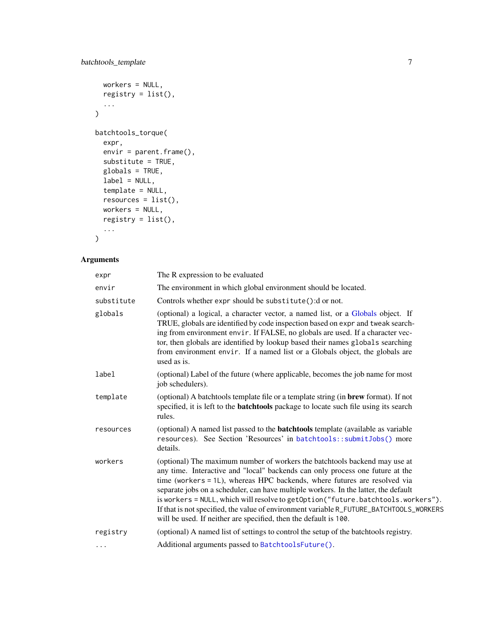```
workers = NULL,
  registry = list(),
  ...
\mathcal{L}batchtools_torque(
  expr,
  envir = parent.frame(),
  substitute = TRUE,
  globals = TRUE,
  label = NULL,template = NULL,
  resources = list(),
  workers = NULL,
  registry = list(),
  ...
\mathcal{L}
```
#### Arguments

| expr       | The R expression to be evaluated                                                                                                                                                                                                                                                                                                                                                                                                                                                                                                                                                   |
|------------|------------------------------------------------------------------------------------------------------------------------------------------------------------------------------------------------------------------------------------------------------------------------------------------------------------------------------------------------------------------------------------------------------------------------------------------------------------------------------------------------------------------------------------------------------------------------------------|
| envir      | The environment in which global environment should be located.                                                                                                                                                                                                                                                                                                                                                                                                                                                                                                                     |
| substitute | Controls whether expr should be substitute(): dor not.                                                                                                                                                                                                                                                                                                                                                                                                                                                                                                                             |
| globals    | (optional) a logical, a character vector, a named list, or a Globals object. If<br>TRUE, globals are identified by code inspection based on expr and tweak search-<br>ing from environment envir. If FALSE, no globals are used. If a character vec-<br>tor, then globals are identified by lookup based their names globals searching<br>from environment envir. If a named list or a Globals object, the globals are<br>used as is.                                                                                                                                              |
| label      | (optional) Label of the future (where applicable, becomes the job name for most<br>job schedulers).                                                                                                                                                                                                                                                                                                                                                                                                                                                                                |
| template   | (optional) A batchtools template file or a template string (in brew format). If not<br>specified, it is left to the <b>batchtools</b> package to locate such file using its search<br>rules.                                                                                                                                                                                                                                                                                                                                                                                       |
| resources  | (optional) A named list passed to the <b>batchtools</b> template (available as variable<br>resources). See Section 'Resources' in batchtools::submitJobs() more<br>details.                                                                                                                                                                                                                                                                                                                                                                                                        |
| workers    | (optional) The maximum number of workers the batchtools backend may use at<br>any time. Interactive and "local" backends can only process one future at the<br>time (workers = 1L), whereas HPC backends, where futures are resolved via<br>separate jobs on a scheduler, can have multiple workers. In the latter, the default<br>is workers = NULL, which will resolve to getOption("future.batchtools.workers").<br>If that is not specified, the value of environment variable R_FUTURE_BATCHTOOLS_WORKERS<br>will be used. If neither are specified, then the default is 100. |
| registry   | (optional) A named list of settings to control the setup of the batchtools registry.                                                                                                                                                                                                                                                                                                                                                                                                                                                                                               |
| $\cdots$   | Additional arguments passed to BatchtoolsFuture().                                                                                                                                                                                                                                                                                                                                                                                                                                                                                                                                 |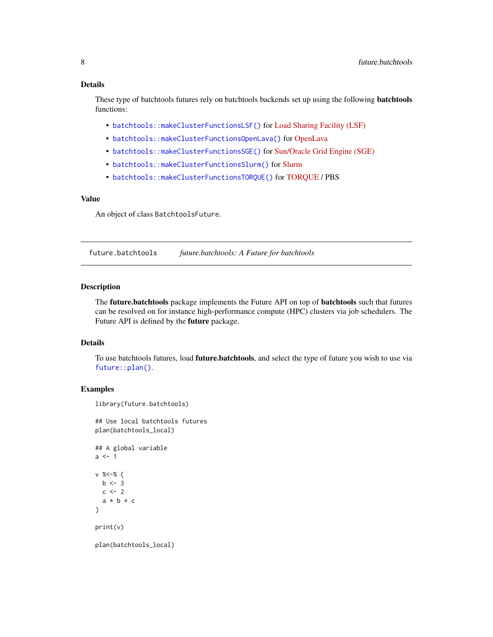#### <span id="page-7-0"></span>Details

These type of batchtools futures rely on batchtools backends set up using the following **batchtools** functions:

- [batchtools::makeClusterFunctionsLSF\(\)](#page-0-0) for [Load Sharing Facility \(LSF\)](https://en.wikipedia.org/wiki/Platform_LSF)
- [batchtools::makeClusterFunctionsOpenLava\(\)](#page-0-0) for [OpenLava](https://en.wikipedia.org/wiki/OpenLava)
- [batchtools::makeClusterFunctionsSGE\(\)](#page-0-0) for [Sun/Oracle Grid Engine \(SGE\)](https://en.wikipedia.org/wiki/Oracle_Grid_Engine)
- [batchtools::makeClusterFunctionsSlurm\(\)](#page-0-0) for [Slurm](https://en.wikipedia.org/wiki/Slurm_Workload_Manager)
- [batchtools::makeClusterFunctionsTORQUE\(\)](#page-0-0) for [TORQUE](https://en.wikipedia.org/wiki/TORQUE) / PBS

#### Value

An object of class BatchtoolsFuture.

future.batchtools *future.batchtools: A Future for batchtools*

#### Description

The future.batchtools package implements the Future API on top of batchtools such that futures can be resolved on for instance high-performance compute (HPC) clusters via job schedulers. The Future API is defined by the future package.

#### Details

To use batchtools futures, load **future.batchtools**, and select the type of future you wish to use via [future::plan\(\)](#page-0-0).

#### Examples

```
library(future.batchtools)
```
## Use local batchtools futures plan(batchtools\_local)

```
## A global variable
a \leftarrow 1v %<-% {
  b \le -3c \le -2a * b * c}
print(v)
```
plan(batchtools\_local)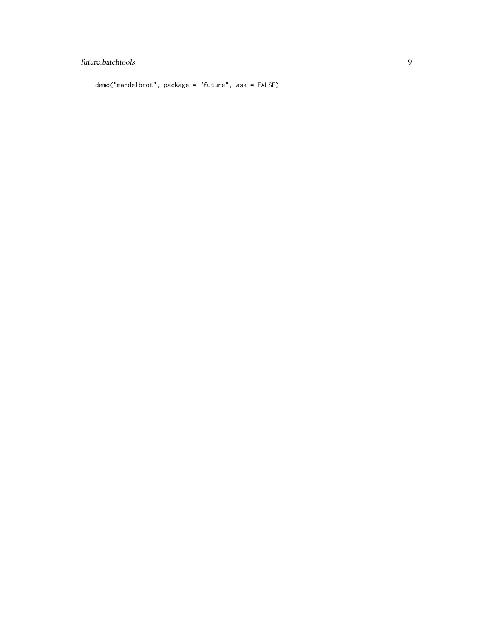#### future.batchtools 9

demo("mandelbrot", package = "future", ask = FALSE)